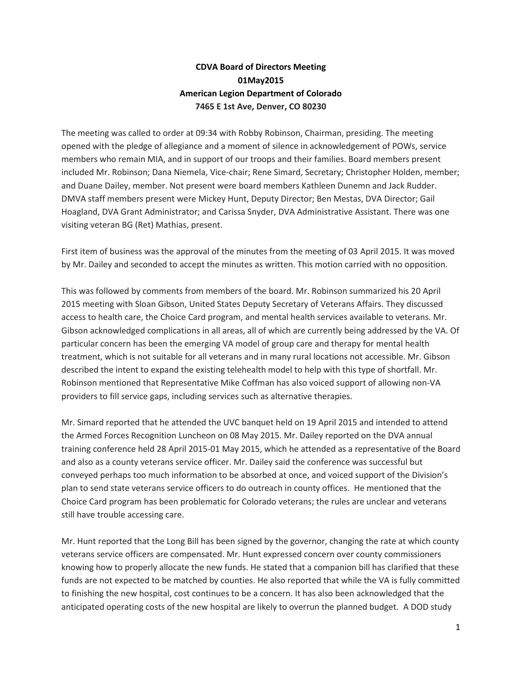# **CDVA Board of Directors Meeting 01May2015 American Legion Department of Colorado 7465 E 1st Ave, Denver, CO 80230**

The meeting was called to order at 09:34 with Robby Robinson, Chairman, presiding. The meeting opened with the pledge of allegiance and a moment of silence in acknowledgement of POWs, service members who remain MIA, and in support of our troops and their families. Board members present included Mr. Robinson; Dana Niemela, Vice-chair; Rene Simard, Secretary; Christopher Holden, member; and Duane Dailey, member. Not present were board members Kathleen Dunemn and Jack Rudder. DMVA staff members present were Mickey Hunt, Deputy Director; Ben Mestas, DVA Director; Gail Hoagland, DVA Grant Administrator; and Carissa Snyder, DVA Administrative Assistant. There was one visiting veteran BG (Ret) Mathias, present.

First item of business was the approval of the minutes from the meeting of 03 April 2015. It was moved by Mr. Dailey and seconded to accept the minutes as written. This motion carried with no opposition.

This was followed by comments from members of the board. Mr. Robinson summarized his 20 April 2015 meeting with Sloan Gibson, United States Deputy Secretary of Veterans Affairs. They discussed access to health care, the Choice Card program, and mental health services available to veterans. Mr. Gibson acknowledged complications in all areas, all of which are currently being addressed by the VA. Of particular concern has been the emerging VA model of group care and therapy for mental health treatment, which is not suitable for all veterans and in many rural locations not accessible. Mr. Gibson described the intent to expand the existing telehealth model to help with this type of shortfall. Mr. Robinson mentioned that Representative Mike Coffman has also voiced support of allowing non-VA providers to fill service gaps, including services such as alternative therapies.

Mr. Simard reported that he attended the UVC banquet held on 19 April 2015 and intended to attend the Armed Forces Recognition Luncheon on 08 May 2015. Mr. Dailey reported on the DVA annual training conference held 28 April 2015-01 May 2015, which he attended as a representative of the Board and also as a county veterans service officer. Mr. Dailey said the conference was successful but conveyed perhaps too much information to be absorbed at once, and voiced support of the Division's plan to send state veterans service officers to do outreach in county offices. He mentioned that the Choice Card program has been problematic for Colorado veterans; the rules are unclear and veterans still have trouble accessing care.

Mr. Hunt reported that the Long Bill has been signed by the governor, changing the rate at which county veterans service officers are compensated. Mr. Hunt expressed concern over county commissioners knowing how to properly allocate the new funds. He stated that a companion bill has clarified that these funds are not expected to be matched by counties. He also reported that while the VA is fully committed to finishing the new hospital, cost continues to be a concern. It has also been acknowledged that the anticipated operating costs of the new hospital are likely to overrun the planned budget. A DOD study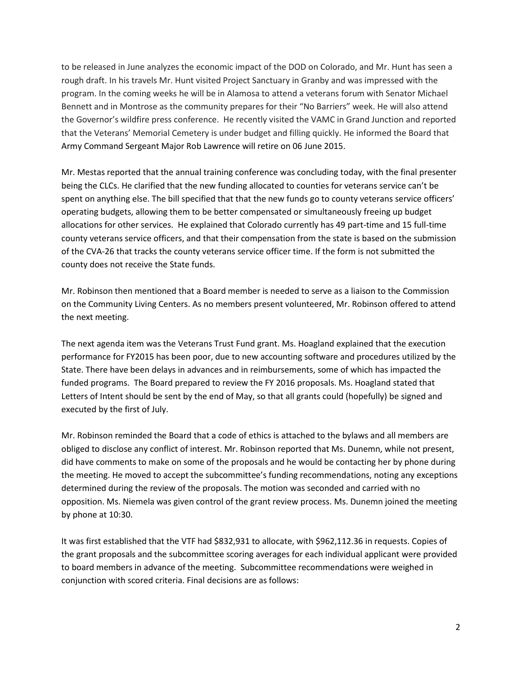to be released in June analyzes the economic impact of the DOD on Colorado, and Mr. Hunt has seen a rough draft. In his travels Mr. Hunt visited Project Sanctuary in Granby and was impressed with the program. In the coming weeks he will be in Alamosa to attend a veterans forum with Senator Michael Bennett and in Montrose as the community prepares for their "No Barriers" week. He will also attend the Governor's wildfire press conference. He recently visited the VAMC in Grand Junction and reported that the Veterans' Memorial Cemetery is under budget and filling quickly. He informed the Board that Army Command Sergeant Major Rob Lawrence will retire on 06 June 2015.

Mr. Mestas reported that the annual training conference was concluding today, with the final presenter being the CLCs. He clarified that the new funding allocated to counties for veterans service can't be spent on anything else. The bill specified that that the new funds go to county veterans service officers' operating budgets, allowing them to be better compensated or simultaneously freeing up budget allocations for other services. He explained that Colorado currently has 49 part-time and 15 full-time county veterans service officers, and that their compensation from the state is based on the submission of the CVA-26 that tracks the county veterans service officer time. If the form is not submitted the county does not receive the State funds.

Mr. Robinson then mentioned that a Board member is needed to serve as a liaison to the Commission on the Community Living Centers. As no members present volunteered, Mr. Robinson offered to attend the next meeting.

The next agenda item was the Veterans Trust Fund grant. Ms. Hoagland explained that the execution performance for FY2015 has been poor, due to new accounting software and procedures utilized by the State. There have been delays in advances and in reimbursements, some of which has impacted the funded programs. The Board prepared to review the FY 2016 proposals. Ms. Hoagland stated that Letters of Intent should be sent by the end of May, so that all grants could (hopefully) be signed and executed by the first of July.

Mr. Robinson reminded the Board that a code of ethics is attached to the bylaws and all members are obliged to disclose any conflict of interest. Mr. Robinson reported that Ms. Dunemn, while not present, did have comments to make on some of the proposals and he would be contacting her by phone during the meeting. He moved to accept the subcommittee's funding recommendations, noting any exceptions determined during the review of the proposals. The motion was seconded and carried with no opposition. Ms. Niemela was given control of the grant review process. Ms. Dunemn joined the meeting by phone at 10:30.

It was first established that the VTF had \$832,931 to allocate, with \$962,112.36 in requests. Copies of the grant proposals and the subcommittee scoring averages for each individual applicant were provided to board members in advance of the meeting. Subcommittee recommendations were weighed in conjunction with scored criteria. Final decisions are as follows: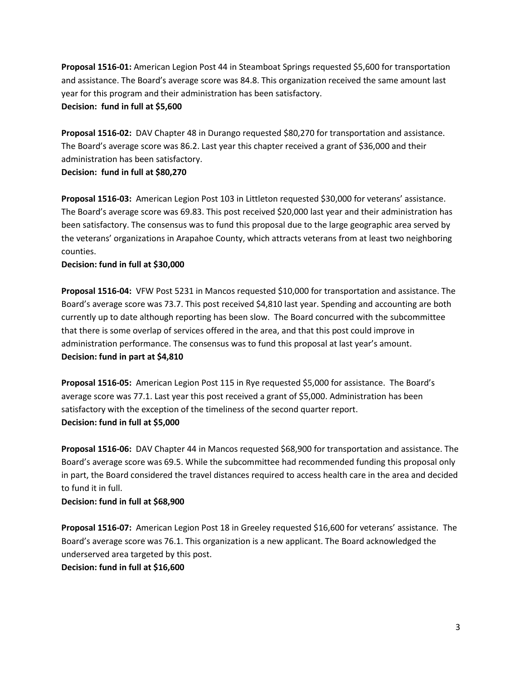**Proposal 1516-01:** American Legion Post 44 in Steamboat Springs requested \$5,600 for transportation and assistance. The Board's average score was 84.8. This organization received the same amount last year for this program and their administration has been satisfactory.

# **Decision: fund in full at \$5,600**

**Proposal 1516-02:** DAV Chapter 48 in Durango requested \$80,270 for transportation and assistance. The Board's average score was 86.2. Last year this chapter received a grant of \$36,000 and their administration has been satisfactory.

**Decision: fund in full at \$80,270**

**Proposal 1516-03:** American Legion Post 103 in Littleton requested \$30,000 for veterans' assistance. The Board's average score was 69.83. This post received \$20,000 last year and their administration has been satisfactory. The consensus was to fund this proposal due to the large geographic area served by the veterans' organizations in Arapahoe County, which attracts veterans from at least two neighboring counties.

# **Decision: fund in full at \$30,000**

**Proposal 1516-04:** VFW Post 5231 in Mancos requested \$10,000 for transportation and assistance. The Board's average score was 73.7. This post received \$4,810 last year. Spending and accounting are both currently up to date although reporting has been slow. The Board concurred with the subcommittee that there is some overlap of services offered in the area, and that this post could improve in administration performance. The consensus was to fund this proposal at last year's amount. **Decision: fund in part at \$4,810**

**Proposal 1516-05:** American Legion Post 115 in Rye requested \$5,000 for assistance. The Board's average score was 77.1. Last year this post received a grant of \$5,000. Administration has been satisfactory with the exception of the timeliness of the second quarter report. **Decision: fund in full at \$5,000**

**Proposal 1516-06:** DAV Chapter 44 in Mancos requested \$68,900 for transportation and assistance. The Board's average score was 69.5. While the subcommittee had recommended funding this proposal only in part, the Board considered the travel distances required to access health care in the area and decided to fund it in full.

# **Decision: fund in full at \$68,900**

**Proposal 1516-07:** American Legion Post 18 in Greeley requested \$16,600 for veterans' assistance. The Board's average score was 76.1. This organization is a new applicant. The Board acknowledged the underserved area targeted by this post. **Decision: fund in full at \$16,600**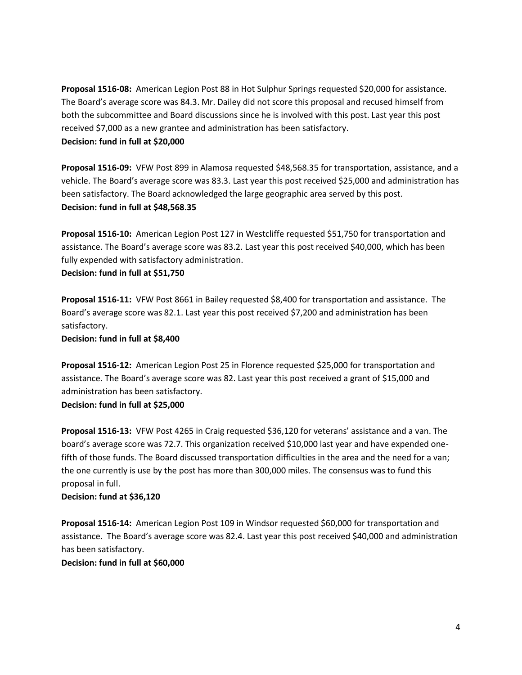**Proposal 1516-08:** American Legion Post 88 in Hot Sulphur Springs requested \$20,000 for assistance. The Board's average score was 84.3. Mr. Dailey did not score this proposal and recused himself from both the subcommittee and Board discussions since he is involved with this post. Last year this post received \$7,000 as a new grantee and administration has been satisfactory. **Decision: fund in full at \$20,000**

**Proposal 1516-09:** VFW Post 899 in Alamosa requested \$48,568.35 for transportation, assistance, and a vehicle. The Board's average score was 83.3. Last year this post received \$25,000 and administration has been satisfactory. The Board acknowledged the large geographic area served by this post. **Decision: fund in full at \$48,568.35**

**Proposal 1516-10:** American Legion Post 127 in Westcliffe requested \$51,750 for transportation and assistance. The Board's average score was 83.2. Last year this post received \$40,000, which has been fully expended with satisfactory administration.

**Decision: fund in full at \$51,750**

**Proposal 1516-11:** VFW Post 8661 in Bailey requested \$8,400 for transportation and assistance. The Board's average score was 82.1. Last year this post received \$7,200 and administration has been satisfactory.

**Decision: fund in full at \$8,400**

**Proposal 1516-12:** American Legion Post 25 in Florence requested \$25,000 for transportation and assistance. The Board's average score was 82. Last year this post received a grant of \$15,000 and administration has been satisfactory.

**Decision: fund in full at \$25,000**

**Proposal 1516-13:** VFW Post 4265 in Craig requested \$36,120 for veterans' assistance and a van. The board's average score was 72.7. This organization received \$10,000 last year and have expended onefifth of those funds. The Board discussed transportation difficulties in the area and the need for a van; the one currently is use by the post has more than 300,000 miles. The consensus was to fund this proposal in full.

# **Decision: fund at \$36,120**

**Proposal 1516-14:** American Legion Post 109 in Windsor requested \$60,000 for transportation and assistance. The Board's average score was 82.4. Last year this post received \$40,000 and administration has been satisfactory.

**Decision: fund in full at \$60,000**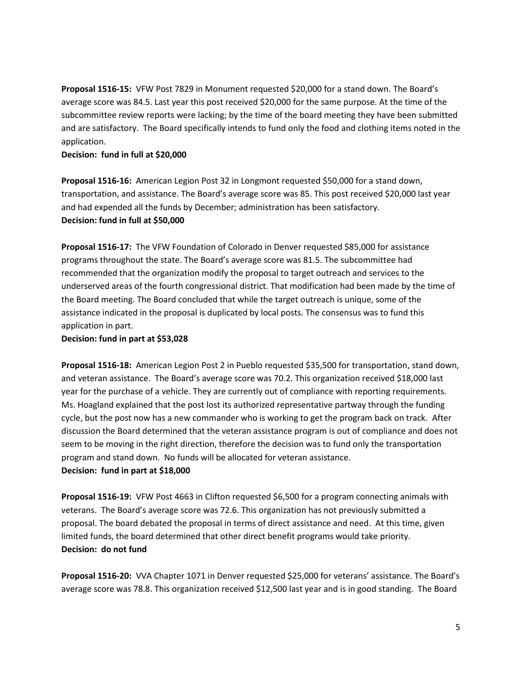**Proposal 1516-15:** VFW Post 7829 in Monument requested \$20,000 for a stand down. The Board's average score was 84.5. Last year this post received \$20,000 for the same purpose. At the time of the subcommittee review reports were lacking; by the time of the board meeting they have been submitted and are satisfactory. The Board specifically intends to fund only the food and clothing items noted in the application.

#### **Decision: fund in full at \$20,000**

**Proposal 1516-16:** American Legion Post 32 in Longmont requested \$50,000 for a stand down, transportation, and assistance. The Board's average score was 85. This post received \$20,000 last year and had expended all the funds by December; administration has been satisfactory. **Decision: fund in full at \$50,000**

**Proposal 1516-17:** The VFW Foundation of Colorado in Denver requested \$85,000 for assistance programs throughout the state. The Board's average score was 81.5. The subcommittee had recommended that the organization modify the proposal to target outreach and services to the underserved areas of the fourth congressional district. That modification had been made by the time of the Board meeting. The Board concluded that while the target outreach is unique, some of the assistance indicated in the proposal is duplicated by local posts. The consensus was to fund this application in part.

#### **Decision: fund in part at \$53,028**

**Proposal 1516-18:** American Legion Post 2 in Pueblo requested \$35,500 for transportation, stand down, and veteran assistance. The Board's average score was 70.2. This organization received \$18,000 last year for the purchase of a vehicle. They are currently out of compliance with reporting requirements. Ms. Hoagland explained that the post lost its authorized representative partway through the funding cycle, but the post now has a new commander who is working to get the program back on track. After discussion the Board determined that the veteran assistance program is out of compliance and does not seem to be moving in the right direction, therefore the decision was to fund only the transportation program and stand down. No funds will be allocated for veteran assistance.

# **Decision: fund in part at \$18,000**

**Proposal 1516-19:** VFW Post 4663 in Clifton requested \$6,500 for a program connecting animals with veterans. The Board's average score was 72.6. This organization has not previously submitted a proposal. The board debated the proposal in terms of direct assistance and need. At this time, given limited funds, the board determined that other direct benefit programs would take priority. **Decision: do not fund**

**Proposal 1516-20:** VVA Chapter 1071 in Denver requested \$25,000 for veterans' assistance. The Board's average score was 78.8. This organization received \$12,500 last year and is in good standing. The Board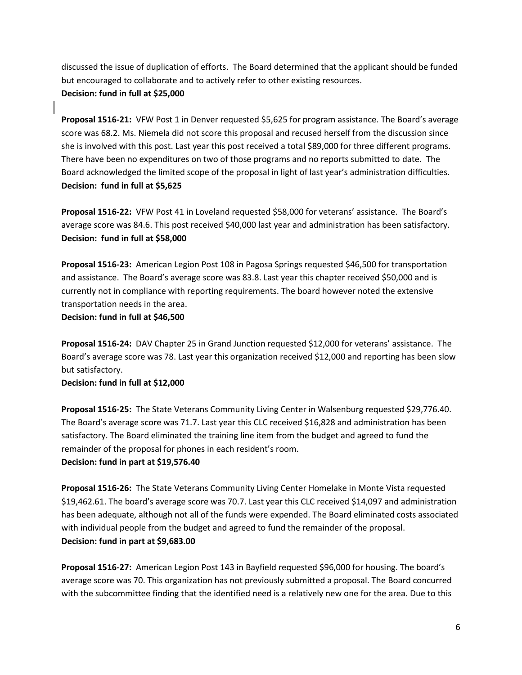discussed the issue of duplication of efforts. The Board determined that the applicant should be funded but encouraged to collaborate and to actively refer to other existing resources. **Decision: fund in full at \$25,000**

**Proposal 1516-21:** VFW Post 1 in Denver requested \$5,625 for program assistance. The Board's average score was 68.2. Ms. Niemela did not score this proposal and recused herself from the discussion since she is involved with this post. Last year this post received a total \$89,000 for three different programs. There have been no expenditures on two of those programs and no reports submitted to date. The Board acknowledged the limited scope of the proposal in light of last year's administration difficulties. **Decision: fund in full at \$5,625**

**Proposal 1516-22:** VFW Post 41 in Loveland requested \$58,000 for veterans' assistance. The Board's average score was 84.6. This post received \$40,000 last year and administration has been satisfactory. **Decision: fund in full at \$58,000**

**Proposal 1516-23:** American Legion Post 108 in Pagosa Springs requested \$46,500 for transportation and assistance. The Board's average score was 83.8. Last year this chapter received \$50,000 and is currently not in compliance with reporting requirements. The board however noted the extensive transportation needs in the area.

**Decision: fund in full at \$46,500**

**Proposal 1516-24:** DAV Chapter 25 in Grand Junction requested \$12,000 for veterans' assistance. The Board's average score was 78. Last year this organization received \$12,000 and reporting has been slow but satisfactory.

# **Decision: fund in full at \$12,000**

**Proposal 1516-25:** The State Veterans Community Living Center in Walsenburg requested \$29,776.40. The Board's average score was 71.7. Last year this CLC received \$16,828 and administration has been satisfactory. The Board eliminated the training line item from the budget and agreed to fund the remainder of the proposal for phones in each resident's room. **Decision: fund in part at \$19,576.40**

**Proposal 1516-26:** The State Veterans Community Living Center Homelake in Monte Vista requested \$19,462.61. The board's average score was 70.7. Last year this CLC received \$14,097 and administration has been adequate, although not all of the funds were expended. The Board eliminated costs associated with individual people from the budget and agreed to fund the remainder of the proposal. **Decision: fund in part at \$9,683.00**

**Proposal 1516-27:** American Legion Post 143 in Bayfield requested \$96,000 for housing. The board's average score was 70. This organization has not previously submitted a proposal. The Board concurred with the subcommittee finding that the identified need is a relatively new one for the area. Due to this